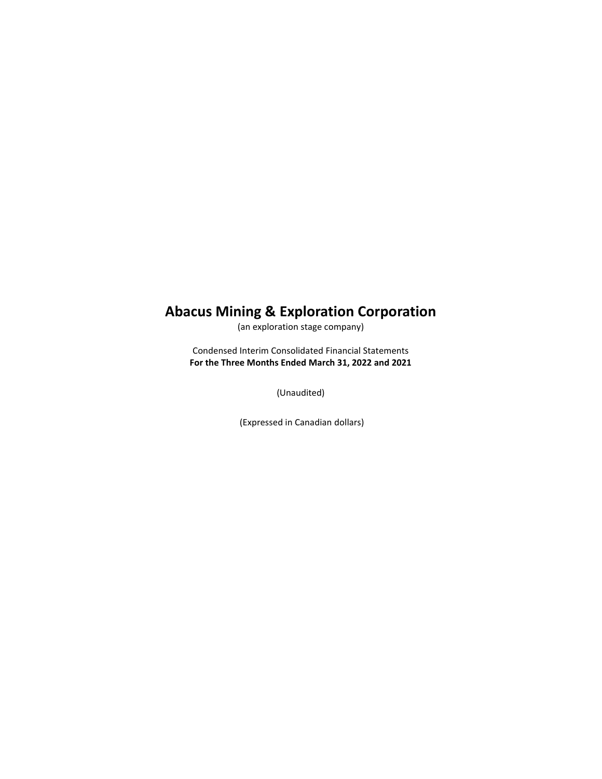# **Abacus Mining & Exploration Corporation**

(an exploration stage company)

Condensed Interim Consolidated Financial Statements **For the Three Months Ended March 31, 2022 and 2021**

(Unaudited)

(Expressed in Canadian dollars)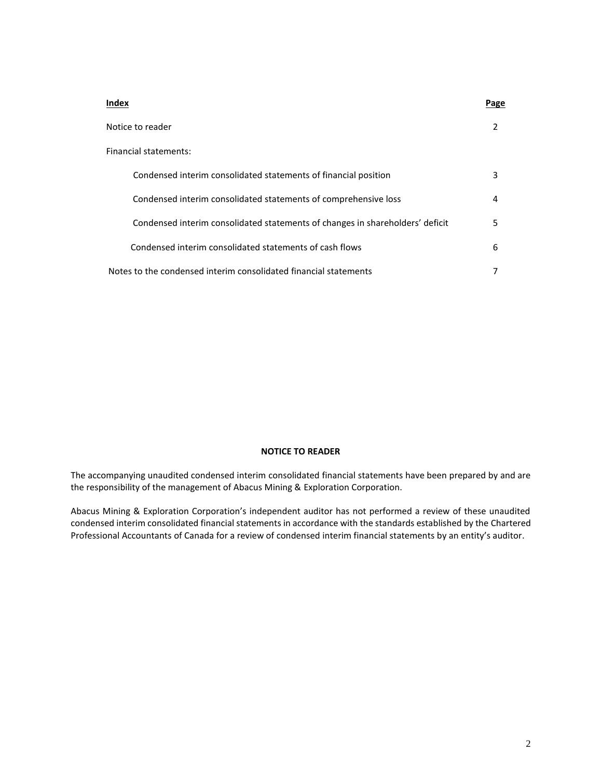| Index                                                                         | Page |
|-------------------------------------------------------------------------------|------|
| Notice to reader                                                              | 2    |
| Financial statements:                                                         |      |
| Condensed interim consolidated statements of financial position               | 3    |
| Condensed interim consolidated statements of comprehensive loss               | 4    |
| Condensed interim consolidated statements of changes in shareholders' deficit | 5    |
| Condensed interim consolidated statements of cash flows                       | 6    |
| Notes to the condensed interim consolidated financial statements              |      |

## **NOTICE TO READER**

The accompanying unaudited condensed interim consolidated financial statements have been prepared by and are the responsibility of the management of Abacus Mining & Exploration Corporation.

Abacus Mining & Exploration Corporation's independent auditor has not performed a review of these unaudited condensed interim consolidated financial statements in accordance with the standards established by the Chartered Professional Accountants of Canada for a review of condensed interim financial statements by an entity's auditor.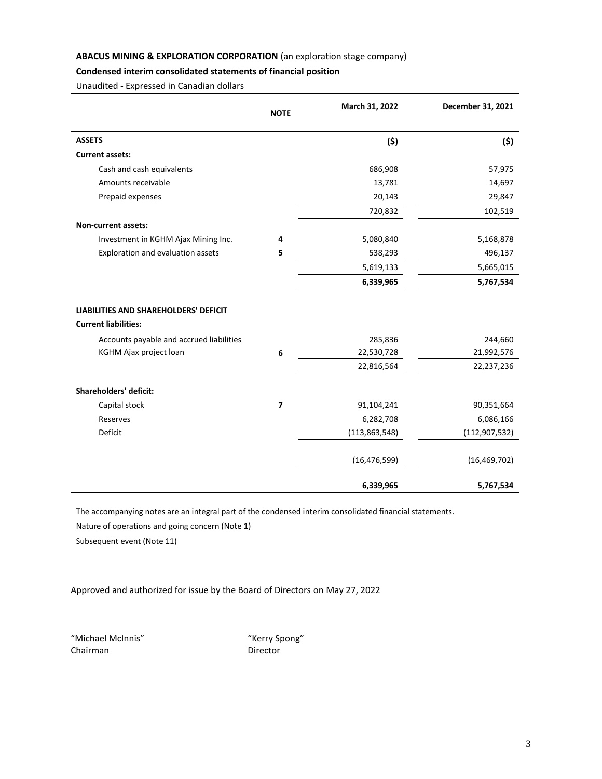# **Condensed interim consolidated statements of financial position**

Unaudited - Expressed in Canadian dollars

|                                                                             | <b>NOTE</b>    | March 31, 2022  | December 31, 2021 |
|-----------------------------------------------------------------------------|----------------|-----------------|-------------------|
| <b>ASSETS</b>                                                               |                | (5)             | (5)               |
| <b>Current assets:</b>                                                      |                |                 |                   |
| Cash and cash equivalents                                                   |                | 686,908         | 57,975            |
| Amounts receivable                                                          |                | 13,781          | 14,697            |
| Prepaid expenses                                                            |                | 20,143          | 29,847            |
|                                                                             |                | 720,832         | 102,519           |
| <b>Non-current assets:</b>                                                  |                |                 |                   |
| Investment in KGHM Ajax Mining Inc.                                         | 4              | 5,080,840       | 5,168,878         |
| Exploration and evaluation assets                                           | 5              | 538,293         | 496,137           |
|                                                                             |                | 5,619,133       | 5,665,015         |
|                                                                             |                | 6,339,965       | 5,767,534         |
| <b>LIABILITIES AND SHAREHOLDERS' DEFICIT</b><br><b>Current liabilities:</b> |                |                 |                   |
| Accounts payable and accrued liabilities                                    |                | 285,836         | 244,660           |
| KGHM Ajax project loan                                                      | 6              | 22,530,728      | 21,992,576        |
|                                                                             |                | 22,816,564      | 22,237,236        |
| <b>Shareholders' deficit:</b>                                               |                |                 |                   |
| Capital stock                                                               | $\overline{7}$ | 91,104,241      | 90,351,664        |
| Reserves                                                                    |                | 6,282,708       | 6,086,166         |
| Deficit                                                                     |                | (113, 863, 548) | (112, 907, 532)   |
|                                                                             |                | (16, 476, 599)  | (16, 469, 702)    |
|                                                                             |                | 6,339,965       | 5,767,534         |

The accompanying notes are an integral part of the condensed interim consolidated financial statements.

Nature of operations and going concern (Note 1)

Subsequent event (Note 11)

Approved and authorized for issue by the Board of Directors on May 27, 2022

"Michael McInnis" "Kerry Spong" Chairman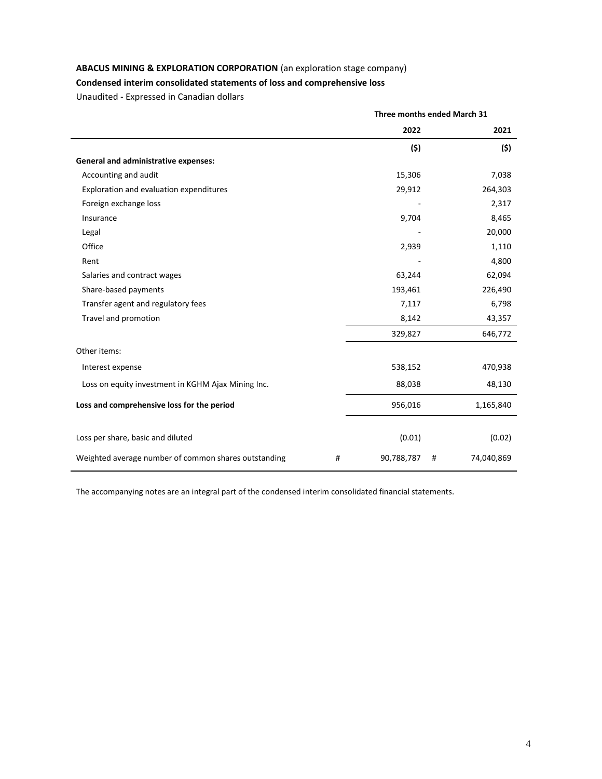# **Condensed interim consolidated statements of loss and comprehensive loss**

Unaudited - Expressed in Canadian dollars

|                                                      |   | Three months ended March 31 |   |            |
|------------------------------------------------------|---|-----------------------------|---|------------|
|                                                      |   | 2022                        |   | 2021       |
|                                                      |   | (5)                         |   | (5)        |
| <b>General and administrative expenses:</b>          |   |                             |   |            |
| Accounting and audit                                 |   | 15,306                      |   | 7,038      |
| Exploration and evaluation expenditures              |   | 29,912                      |   | 264,303    |
| Foreign exchange loss                                |   |                             |   | 2,317      |
| Insurance                                            |   | 9,704                       |   | 8,465      |
| Legal                                                |   |                             |   | 20,000     |
| Office                                               |   | 2,939                       |   | 1,110      |
| Rent                                                 |   |                             |   | 4,800      |
| Salaries and contract wages                          |   | 63,244                      |   | 62,094     |
| Share-based payments                                 |   | 193,461                     |   | 226,490    |
| Transfer agent and regulatory fees                   |   | 7,117                       |   | 6,798      |
| Travel and promotion                                 |   | 8,142                       |   | 43,357     |
|                                                      |   | 329,827                     |   | 646,772    |
| Other items:                                         |   |                             |   |            |
| Interest expense                                     |   | 538,152                     |   | 470,938    |
| Loss on equity investment in KGHM Ajax Mining Inc.   |   | 88,038                      |   | 48,130     |
| Loss and comprehensive loss for the period           |   | 956,016                     |   | 1,165,840  |
|                                                      |   |                             |   |            |
| Loss per share, basic and diluted                    |   | (0.01)                      |   | (0.02)     |
| Weighted average number of common shares outstanding | # | 90,788,787                  | # | 74,040,869 |

The accompanying notes are an integral part of the condensed interim consolidated financial statements.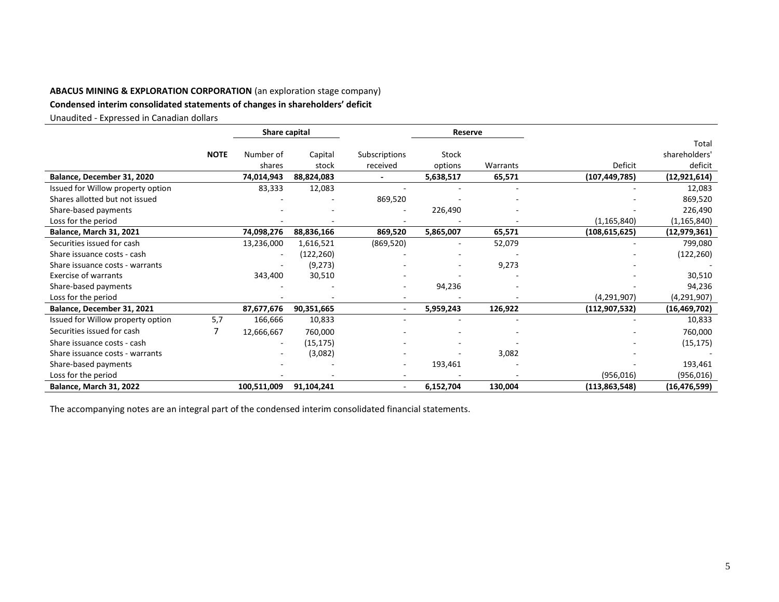# **Condensed interim consolidated statements of changes in shareholders' deficit**

Unaudited - Expressed in Canadian dollars

|                                   |             | Share capital            |            |                          | Reserve                  |          |                 |                |
|-----------------------------------|-------------|--------------------------|------------|--------------------------|--------------------------|----------|-----------------|----------------|
|                                   |             |                          |            |                          |                          |          |                 | Total          |
|                                   | <b>NOTE</b> | Number of                | Capital    | Subscriptions            | Stock                    |          |                 | shareholders'  |
|                                   |             | shares                   | stock      | received                 | options                  | Warrants | Deficit         | deficit        |
| Balance, December 31, 2020        |             | 74,014,943               | 88,824,083 | $\overline{\phantom{a}}$ | 5,638,517                | 65,571   | (107,449,785)   | (12, 921, 614) |
| Issued for Willow property option |             | 83,333                   | 12,083     |                          |                          |          |                 | 12,083         |
| Shares allotted but not issued    |             |                          |            | 869,520                  |                          |          |                 | 869,520        |
| Share-based payments              |             |                          |            |                          | 226,490                  |          |                 | 226,490        |
| Loss for the period               |             |                          |            |                          |                          |          | (1, 165, 840)   | (1, 165, 840)  |
| <b>Balance, March 31, 2021</b>    |             | 74,098,276               | 88,836,166 | 869,520                  | 5,865,007                | 65,571   | (108, 615, 625) | (12, 979, 361) |
| Securities issued for cash        |             | 13,236,000               | 1,616,521  | (869, 520)               | $\overline{\phantom{m}}$ | 52,079   |                 | 799,080        |
| Share issuance costs - cash       |             | $\overline{\phantom{a}}$ | (122,260)  |                          |                          |          |                 | (122, 260)     |
| Share issuance costs - warrants   |             |                          | (9, 273)   |                          |                          | 9,273    |                 |                |
| <b>Exercise of warrants</b>       |             | 343,400                  | 30,510     |                          |                          |          |                 | 30,510         |
| Share-based payments              |             |                          |            |                          | 94,236                   |          |                 | 94,236         |
| Loss for the period               |             |                          |            |                          |                          |          | (4, 291, 907)   | (4, 291, 907)  |
| Balance, December 31, 2021        |             | 87,677,676               | 90,351,665 | $\sim$                   | 5,959,243                | 126,922  | (112, 907, 532) | (16, 469, 702) |
| Issued for Willow property option | 5.7         | 166,666                  | 10,833     |                          |                          |          |                 | 10,833         |
| Securities issued for cash        |             | 12,666,667               | 760,000    |                          |                          |          |                 | 760,000        |
| Share issuance costs - cash       |             |                          | (15, 175)  |                          |                          |          |                 | (15, 175)      |
| Share issuance costs - warrants   |             |                          | (3,082)    |                          |                          | 3,082    |                 |                |
| Share-based payments              |             |                          |            |                          | 193,461                  |          |                 | 193,461        |
| Loss for the period               |             |                          |            |                          |                          |          | (956, 016)      | (956, 016)     |
| <b>Balance, March 31, 2022</b>    |             | 100,511,009              | 91,104,241 | $\sim$                   | 6,152,704                | 130,004  | (113, 863, 548) | (16, 476, 599) |

The accompanying notes are an integral part of the condensed interim consolidated financial statements.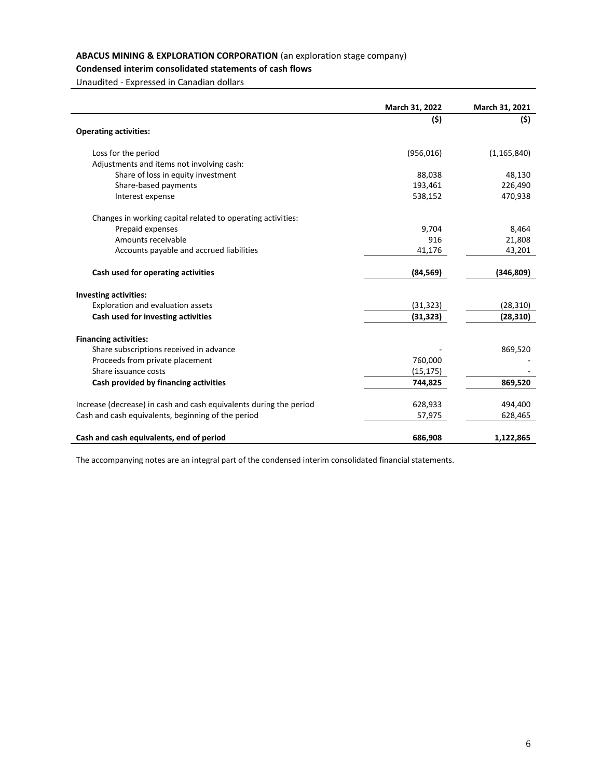# **Condensed interim consolidated statements of cash flows**

Unaudited - Expressed in Canadian dollars

|                                                                    | March 31, 2022 | March 31, 2021 |
|--------------------------------------------------------------------|----------------|----------------|
|                                                                    | (5)            | (\$)           |
| <b>Operating activities:</b>                                       |                |                |
| Loss for the period                                                | (956, 016)     | (1, 165, 840)  |
| Adjustments and items not involving cash:                          |                |                |
| Share of loss in equity investment                                 | 88,038         | 48,130         |
| Share-based payments                                               | 193,461        | 226,490        |
| Interest expense                                                   | 538,152        | 470,938        |
| Changes in working capital related to operating activities:        |                |                |
| Prepaid expenses                                                   | 9,704          | 8,464          |
| Amounts receivable                                                 | 916            | 21,808         |
| Accounts payable and accrued liabilities                           | 41,176         | 43,201         |
| Cash used for operating activities                                 | (84, 569)      | (346, 809)     |
| <b>Investing activities:</b>                                       |                |                |
| Exploration and evaluation assets                                  | (31, 323)      | (28, 310)      |
| Cash used for investing activities                                 | (31, 323)      | (28, 310)      |
| <b>Financing activities:</b>                                       |                |                |
| Share subscriptions received in advance                            |                | 869,520        |
| Proceeds from private placement                                    | 760,000        |                |
| Share issuance costs                                               | (15, 175)      |                |
| Cash provided by financing activities                              | 744,825        | 869,520        |
| Increase (decrease) in cash and cash equivalents during the period | 628,933        | 494,400        |
| Cash and cash equivalents, beginning of the period                 | 57,975         | 628,465        |
| Cash and cash equivalents, end of period                           | 686,908        | 1,122,865      |

The accompanying notes are an integral part of the condensed interim consolidated financial statements.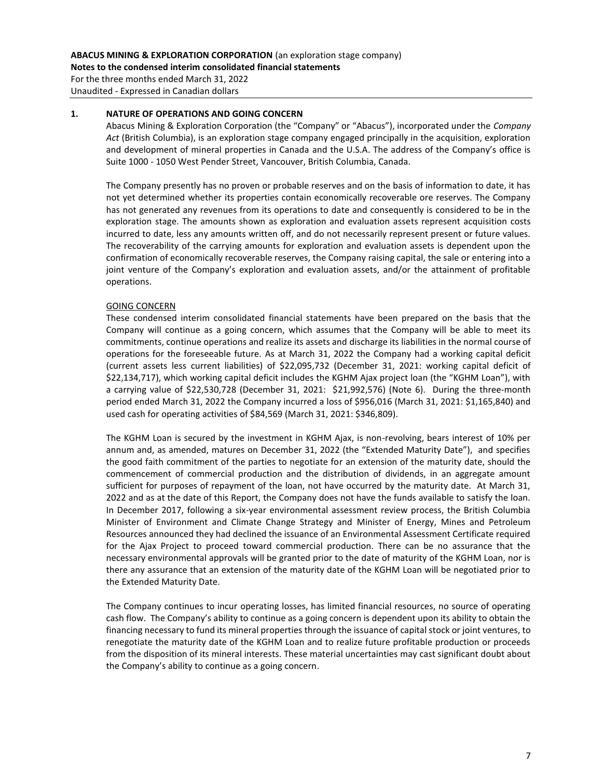For the three months ended March 31, 2022 Unaudited - Expressed in Canadian dollars

## **1. NATURE OF OPERATIONS AND GOING CONCERN**

Abacus Mining & Exploration Corporation (the "Company" or "Abacus"), incorporated under the *Company Act* (British Columbia), is an exploration stage company engaged principally in the acquisition, exploration and development of mineral properties in Canada and the U.S.A. The address of the Company's office is Suite 1000 - 1050 West Pender Street, Vancouver, British Columbia, Canada.

The Company presently has no proven or probable reserves and on the basis of information to date, it has not yet determined whether its properties contain economically recoverable ore reserves. The Company has not generated any revenues from its operations to date and consequently is considered to be in the exploration stage. The amounts shown as exploration and evaluation assets represent acquisition costs incurred to date, less any amounts written off, and do not necessarily represent present or future values. The recoverability of the carrying amounts for exploration and evaluation assets is dependent upon the confirmation of economically recoverable reserves, the Company raising capital, the sale or entering into a joint venture of the Company's exploration and evaluation assets, and/or the attainment of profitable operations.

# GOING CONCERN

These condensed interim consolidated financial statements have been prepared on the basis that the Company will continue as a going concern, which assumes that the Company will be able to meet its commitments, continue operations and realize its assets and discharge its liabilities in the normal course of operations for the foreseeable future. As at March 31, 2022 the Company had a working capital deficit (current assets less current liabilities) of \$22,095,732 (December 31, 2021: working capital deficit of \$22,134,717), which working capital deficit includes the KGHM Ajax project loan (the "KGHM Loan"), with a carrying value of \$22,530,728 (December 31, 2021: \$21,992,576) (Note 6). During the three-month period ended March 31, 2022 the Company incurred a loss of \$956,016 (March 31, 2021: \$1,165,840) and used cash for operating activities of \$84,569 (March 31, 2021: \$346,809).

The KGHM Loan is secured by the investment in KGHM Ajax, is non-revolving, bears interest of 10% per annum and, as amended, matures on December 31, 2022 (the "Extended Maturity Date"), and specifies the good faith commitment of the parties to negotiate for an extension of the maturity date, should the commencement of commercial production and the distribution of dividends, in an aggregate amount sufficient for purposes of repayment of the loan, not have occurred by the maturity date. At March 31, 2022 and as at the date of this Report, the Company does not have the funds available to satisfy the loan. In December 2017, following a six-year environmental assessment review process, the British Columbia Minister of Environment and Climate Change Strategy and Minister of Energy, Mines and Petroleum Resources announced they had declined the issuance of an Environmental Assessment Certificate required for the Ajax Project to proceed toward commercial production. There can be no assurance that the necessary environmental approvals will be granted prior to the date of maturity of the KGHM Loan, nor is there any assurance that an extension of the maturity date of the KGHM Loan will be negotiated prior to the Extended Maturity Date.

The Company continues to incur operating losses, has limited financial resources, no source of operating cash flow. The Company's ability to continue as a going concern is dependent upon its ability to obtain the financing necessary to fund its mineral properties through the issuance of capital stock or joint ventures, to renegotiate the maturity date of the KGHM Loan and to realize future profitable production or proceeds from the disposition of its mineral interests. These material uncertainties may cast significant doubt about the Company's ability to continue as a going concern.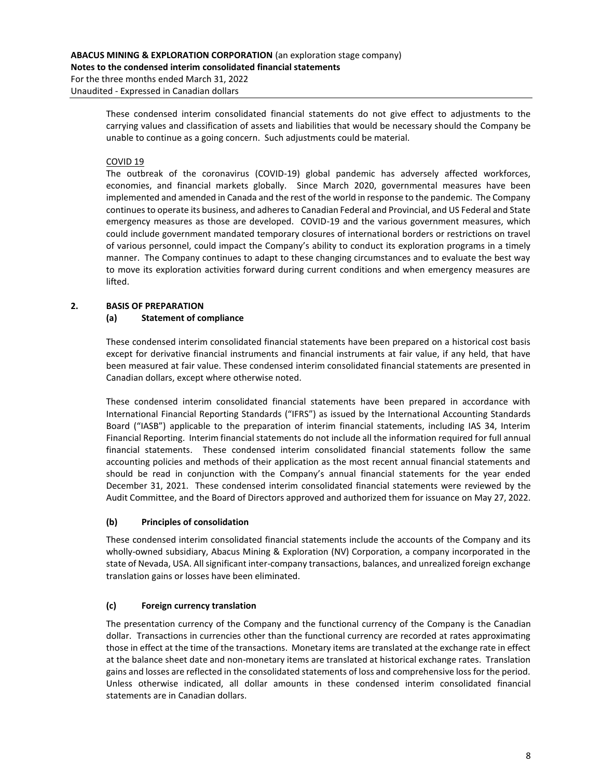For the three months ended March 31, 2022 Unaudited - Expressed in Canadian dollars

> These condensed interim consolidated financial statements do not give effect to adjustments to the carrying values and classification of assets and liabilities that would be necessary should the Company be unable to continue as a going concern. Such adjustments could be material.

# COVID 19

The outbreak of the coronavirus (COVID-19) global pandemic has adversely affected workforces, economies, and financial markets globally. Since March 2020, governmental measures have been implemented and amended in Canada and the rest of the world in response to the pandemic. The Company continues to operate its business, and adheres to Canadian Federal and Provincial, and US Federal and State emergency measures as those are developed. COVID-19 and the various government measures, which could include government mandated temporary closures of international borders or restrictions on travel of various personnel, could impact the Company's ability to conduct its exploration programs in a timely manner. The Company continues to adapt to these changing circumstances and to evaluate the best way to move its exploration activities forward during current conditions and when emergency measures are lifted.

# **2. BASIS OF PREPARATION**

# **(a) Statement of compliance**

These condensed interim consolidated financial statements have been prepared on a historical cost basis except for derivative financial instruments and financial instruments at fair value, if any held, that have been measured at fair value. These condensed interim consolidated financial statements are presented in Canadian dollars, except where otherwise noted.

These condensed interim consolidated financial statements have been prepared in accordance with International Financial Reporting Standards ("IFRS") as issued by the International Accounting Standards Board ("IASB") applicable to the preparation of interim financial statements, including IAS 34, Interim Financial Reporting. Interim financial statements do not include all the information required for full annual financial statements. These condensed interim consolidated financial statements follow the same accounting policies and methods of their application as the most recent annual financial statements and should be read in conjunction with the Company's annual financial statements for the year ended December 31, 2021. These condensed interim consolidated financial statements were reviewed by the Audit Committee, and the Board of Directors approved and authorized them for issuance on May 27, 2022.

# **(b) Principles of consolidation**

These condensed interim consolidated financial statements include the accounts of the Company and its wholly-owned subsidiary, Abacus Mining & Exploration (NV) Corporation, a company incorporated in the state of Nevada, USA. All significant inter-company transactions, balances, and unrealized foreign exchange translation gains or losses have been eliminated.

# **(c) Foreign currency translation**

The presentation currency of the Company and the functional currency of the Company is the Canadian dollar. Transactions in currencies other than the functional currency are recorded at rates approximating those in effect at the time of the transactions. Monetary items are translated at the exchange rate in effect at the balance sheet date and non-monetary items are translated at historical exchange rates. Translation gains and losses are reflected in the consolidated statements of loss and comprehensive loss for the period. Unless otherwise indicated, all dollar amounts in these condensed interim consolidated financial statements are in Canadian dollars.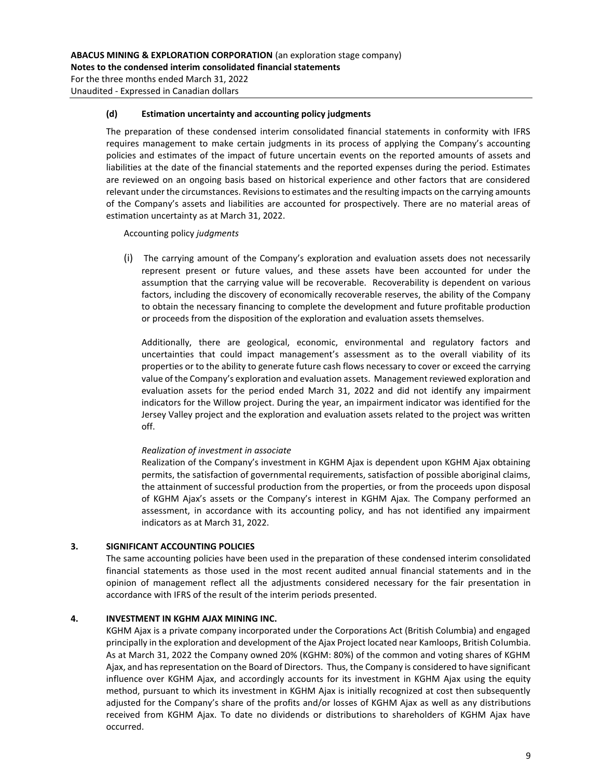Unaudited - Expressed in Canadian dollars

#### **(d) Estimation uncertainty and accounting policy judgments**

The preparation of these condensed interim consolidated financial statements in conformity with IFRS requires management to make certain judgments in its process of applying the Company's accounting policies and estimates of the impact of future uncertain events on the reported amounts of assets and liabilities at the date of the financial statements and the reported expenses during the period. Estimates are reviewed on an ongoing basis based on historical experience and other factors that are considered relevant under the circumstances. Revisions to estimates and the resulting impacts on the carrying amounts of the Company's assets and liabilities are accounted for prospectively. There are no material areas of estimation uncertainty as at March 31, 2022.

Accounting policy *judgments*

(i) The carrying amount of the Company's exploration and evaluation assets does not necessarily represent present or future values, and these assets have been accounted for under the assumption that the carrying value will be recoverable. Recoverability is dependent on various factors, including the discovery of economically recoverable reserves, the ability of the Company to obtain the necessary financing to complete the development and future profitable production or proceeds from the disposition of the exploration and evaluation assets themselves.

Additionally, there are geological, economic, environmental and regulatory factors and uncertainties that could impact management's assessment as to the overall viability of its properties or to the ability to generate future cash flows necessary to cover or exceed the carrying value of the Company's exploration and evaluation assets. Management reviewed exploration and evaluation assets for the period ended March 31, 2022 and did not identify any impairment indicators for the Willow project. During the year, an impairment indicator was identified for the Jersey Valley project and the exploration and evaluation assets related to the project was written off.

#### *Realization of investment in associate*

Realization of the Company's investment in KGHM Ajax is dependent upon KGHM Ajax obtaining permits, the satisfaction of governmental requirements, satisfaction of possible aboriginal claims, the attainment of successful production from the properties, or from the proceeds upon disposal of KGHM Ajax's assets or the Company's interest in KGHM Ajax. The Company performed an assessment, in accordance with its accounting policy, and has not identified any impairment indicators as at March 31, 2022.

## **3. SIGNIFICANT ACCOUNTING POLICIES**

The same accounting policies have been used in the preparation of these condensed interim consolidated financial statements as those used in the most recent audited annual financial statements and in the opinion of management reflect all the adjustments considered necessary for the fair presentation in accordance with IFRS of the result of the interim periods presented.

## **4. INVESTMENT IN KGHM AJAX MINING INC.**

KGHM Ajax is a private company incorporated under the Corporations Act (British Columbia) and engaged principally in the exploration and development of the Ajax Project located near Kamloops, British Columbia. As at March 31, 2022 the Company owned 20% (KGHM: 80%) of the common and voting shares of KGHM Ajax, and has representation on the Board of Directors. Thus, the Company is considered to have significant influence over KGHM Ajax, and accordingly accounts for its investment in KGHM Ajax using the equity method, pursuant to which its investment in KGHM Ajax is initially recognized at cost then subsequently adjusted for the Company's share of the profits and/or losses of KGHM Ajax as well as any distributions received from KGHM Ajax. To date no dividends or distributions to shareholders of KGHM Ajax have occurred.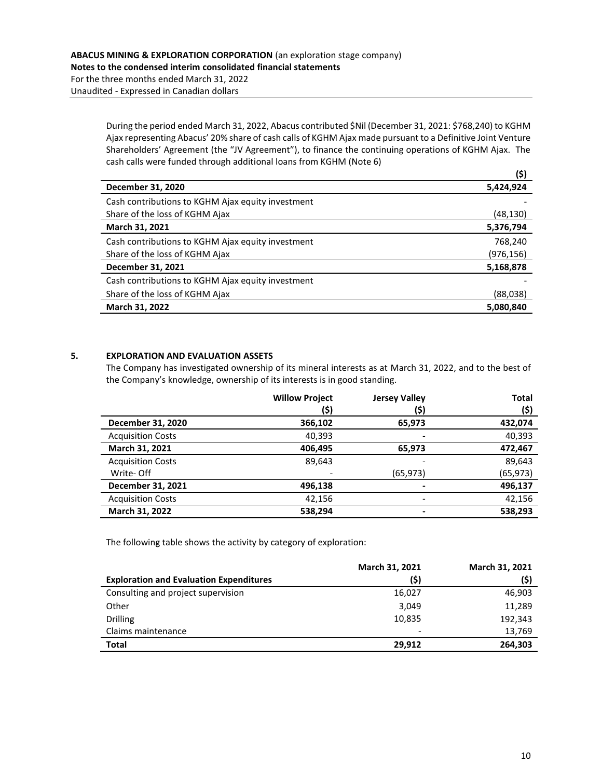During the period ended March 31, 2022, Abacus contributed \$Nil (December 31, 2021: \$768,240) to KGHM Ajax representing Abacus' 20% share of cash calls of KGHM Ajax made pursuant to a Definitive Joint Venture Shareholders' Agreement (the "JV Agreement"), to finance the continuing operations of KGHM Ajax. The cash calls were funded through additional loans from KGHM (Note 6)

|                                                   | (\$)       |
|---------------------------------------------------|------------|
| December 31, 2020                                 | 5,424,924  |
| Cash contributions to KGHM Ajax equity investment |            |
| Share of the loss of KGHM Ajax                    | (48,130)   |
| March 31, 2021                                    | 5,376,794  |
| Cash contributions to KGHM Ajax equity investment | 768,240    |
| Share of the loss of KGHM Ajax                    | (976, 156) |
| December 31, 2021                                 | 5,168,878  |
| Cash contributions to KGHM Ajax equity investment |            |
| Share of the loss of KGHM Ajax                    | (88,038)   |
| March 31, 2022                                    | 5,080,840  |

# **5. EXPLORATION AND EVALUATION ASSETS**

The Company has investigated ownership of its mineral interests as at March 31, 2022, and to the best of the Company's knowledge, ownership of its interests is in good standing.

|                          | <b>Willow Project</b> | <b>Jersey Valley</b>     | <b>Total</b> |
|--------------------------|-----------------------|--------------------------|--------------|
|                          | (\$)                  | (\$)                     | (\$)         |
| December 31, 2020        | 366,102               | 65,973                   | 432,074      |
| <b>Acquisition Costs</b> | 40,393                |                          | 40,393       |
| March 31, 2021           | 406,495               | 65,973                   | 472,467      |
| <b>Acquisition Costs</b> | 89,643                |                          | 89,643       |
| Write- Off               |                       | (65, 973)                | (65,973)     |
| December 31, 2021        | 496,138               | $\overline{\phantom{0}}$ | 496,137      |
| <b>Acquisition Costs</b> | 42,156                | -                        | 42,156       |
| March 31, 2022           | 538,294               |                          | 538,293      |

The following table shows the activity by category of exploration:

|                                                | March 31, 2021 | March 31, 2021 |
|------------------------------------------------|----------------|----------------|
| <b>Exploration and Evaluation Expenditures</b> | (\$)           | (\$)           |
| Consulting and project supervision             | 16,027         | 46,903         |
| Other                                          | 3,049          | 11,289         |
| <b>Drilling</b>                                | 10,835         | 192.343        |
| Claims maintenance                             | -              | 13,769         |
| <b>Total</b>                                   | 29.912         | 264,303        |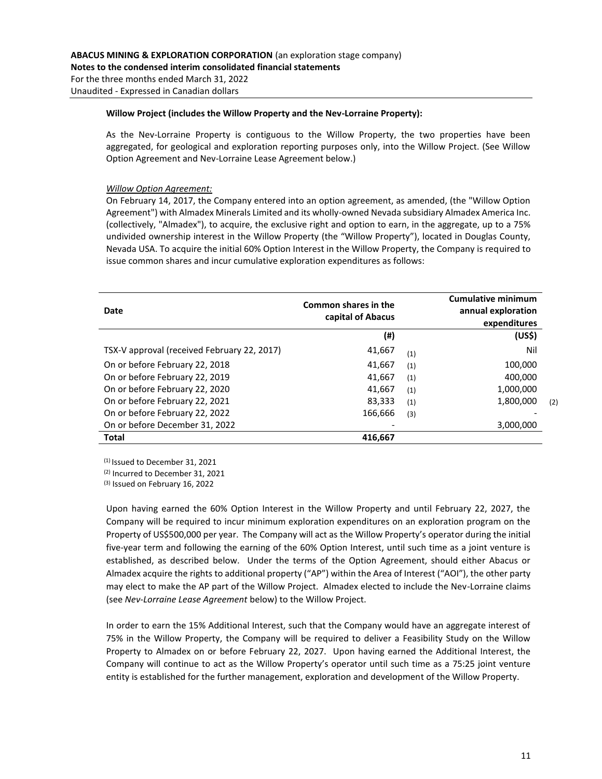#### **Willow Project (includes the Willow Property and the Nev-Lorraine Property):**

As the Nev-Lorraine Property is contiguous to the Willow Property, the two properties have been aggregated, for geological and exploration reporting purposes only, into the Willow Project. (See Willow Option Agreement and Nev-Lorraine Lease Agreement below.)

#### *Willow Option Agreement:*

On February 14, 2017, the Company entered into an option agreement, as amended, (the "Willow Option Agreement") with Almadex Minerals Limited and its wholly-owned Nevada subsidiary Almadex America Inc. (collectively, "Almadex"), to acquire, the exclusive right and option to earn, in the aggregate, up to a 75% undivided ownership interest in the Willow Property (the "Willow Property"), located in Douglas County, Nevada USA. To acquire the initial 60% Option Interest in the Willow Property, the Company is required to issue common shares and incur cumulative exploration expenditures as follows:

| Date                                        | Common shares in the<br>capital of Abacus |     | <b>Cumulative minimum</b><br>annual exploration<br>expenditures |     |
|---------------------------------------------|-------------------------------------------|-----|-----------------------------------------------------------------|-----|
|                                             | (#)                                       |     | (US <sup>2</sup> )                                              |     |
| TSX-V approval (received February 22, 2017) | 41,667                                    | (1) | Nil                                                             |     |
| On or before February 22, 2018              | 41.667                                    | (1) | 100,000                                                         |     |
| On or before February 22, 2019              | 41,667                                    | (1) | 400,000                                                         |     |
| On or before February 22, 2020              | 41,667                                    | (1) | 1,000,000                                                       |     |
| On or before February 22, 2021              | 83,333                                    | (1) | 1,800,000                                                       | (2) |
| On or before February 22, 2022              | 166.666                                   | (3) |                                                                 |     |
| On or before December 31, 2022              |                                           |     | 3,000,000                                                       |     |
| <b>Total</b>                                | 416,667                                   |     |                                                                 |     |

(1) Issued to December 31, 2021

(2) Incurred to December 31, 2021

(3) Issued on February 16, 2022

Upon having earned the 60% Option Interest in the Willow Property and until February 22, 2027, the Company will be required to incur minimum exploration expenditures on an exploration program on the Property of US\$500,000 per year. The Company will act as the Willow Property's operator during the initial five-year term and following the earning of the 60% Option Interest, until such time as a joint venture is established, as described below. Under the terms of the Option Agreement, should either Abacus or Almadex acquire the rights to additional property ("AP") within the Area of Interest ("AOI"), the other party may elect to make the AP part of the Willow Project. Almadex elected to include the Nev-Lorraine claims (see *Nev-Lorraine Lease Agreement* below) to the Willow Project.

In order to earn the 15% Additional Interest, such that the Company would have an aggregate interest of 75% in the Willow Property, the Company will be required to deliver a Feasibility Study on the Willow Property to Almadex on or before February 22, 2027. Upon having earned the Additional Interest, the Company will continue to act as the Willow Property's operator until such time as a 75:25 joint venture entity is established for the further management, exploration and development of the Willow Property.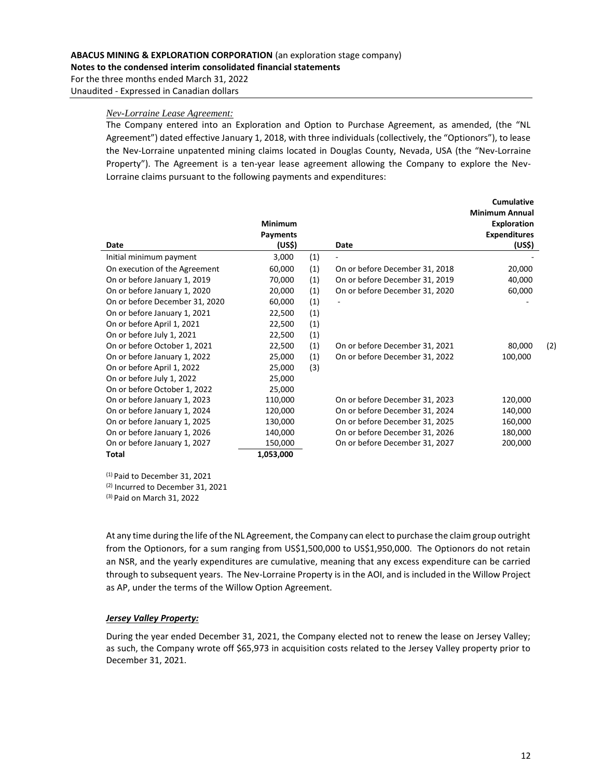#### *Nev-Lorraine Lease Agreement:*

The Company entered into an Exploration and Option to Purchase Agreement, as amended, (the "NL Agreement") dated effective January 1, 2018, with three individuals (collectively, the "Optionors"), to lease the Nev-Lorraine unpatented mining claims located in Douglas County, Nevada, USA (the "Nev-Lorraine Property"). The Agreement is a ten-year lease agreement allowing the Company to explore the Nev-Lorraine claims pursuant to the following payments and expenditures:

|                                | <b>Minimum</b><br><b>Payments</b> |     |                                | <b>Cumulative</b><br><b>Minimum Annual</b><br><b>Exploration</b><br><b>Expenditures</b> |     |
|--------------------------------|-----------------------------------|-----|--------------------------------|-----------------------------------------------------------------------------------------|-----|
| Date                           | (US\$)                            |     | Date                           | (US\$)                                                                                  |     |
| Initial minimum payment        | 3,000                             | (1) |                                |                                                                                         |     |
| On execution of the Agreement  | 60,000                            | (1) | On or before December 31, 2018 | 20,000                                                                                  |     |
| On or before January 1, 2019   | 70,000                            | (1) | On or before December 31, 2019 | 40,000                                                                                  |     |
| On or before January 1, 2020   | 20,000                            | (1) | On or before December 31, 2020 | 60,000                                                                                  |     |
| On or before December 31, 2020 | 60,000                            | (1) |                                |                                                                                         |     |
| On or before January 1, 2021   | 22,500                            | (1) |                                |                                                                                         |     |
| On or before April 1, 2021     | 22,500                            | (1) |                                |                                                                                         |     |
| On or before July 1, 2021      | 22,500                            | (1) |                                |                                                                                         |     |
| On or before October 1, 2021   | 22,500                            | (1) | On or before December 31, 2021 | 80,000                                                                                  | (2) |
| On or before January 1, 2022   | 25,000                            | (1) | On or before December 31, 2022 | 100,000                                                                                 |     |
| On or before April 1, 2022     | 25,000                            | (3) |                                |                                                                                         |     |
| On or before July 1, 2022      | 25,000                            |     |                                |                                                                                         |     |
| On or before October 1, 2022   | 25,000                            |     |                                |                                                                                         |     |
| On or before January 1, 2023   | 110,000                           |     | On or before December 31, 2023 | 120,000                                                                                 |     |
| On or before January 1, 2024   | 120,000                           |     | On or before December 31, 2024 | 140,000                                                                                 |     |
| On or before January 1, 2025   | 130,000                           |     | On or before December 31, 2025 | 160,000                                                                                 |     |
| On or before January 1, 2026   | 140,000                           |     | On or before December 31, 2026 | 180,000                                                                                 |     |
| On or before January 1, 2027   | 150,000                           |     | On or before December 31, 2027 | 200,000                                                                                 |     |
| <b>Total</b>                   | 1,053,000                         |     |                                |                                                                                         |     |

(1) Paid to December 31, 2021 (2) Incurred to December 31, 2021 (3) Paid on March 31, 2022

At any time during the life of the NL Agreement, the Company can elect to purchase the claim group outright from the Optionors, for a sum ranging from US\$1,500,000 to US\$1,950,000. The Optionors do not retain an NSR, and the yearly expenditures are cumulative, meaning that any excess expenditure can be carried through to subsequent years. The Nev-Lorraine Property is in the AOI, and is included in the Willow Project as AP, under the terms of the Willow Option Agreement.

#### *Jersey Valley Property:*

During the year ended December 31, 2021, the Company elected not to renew the lease on Jersey Valley; as such, the Company wrote off \$65,973 in acquisition costs related to the Jersey Valley property prior to December 31, 2021.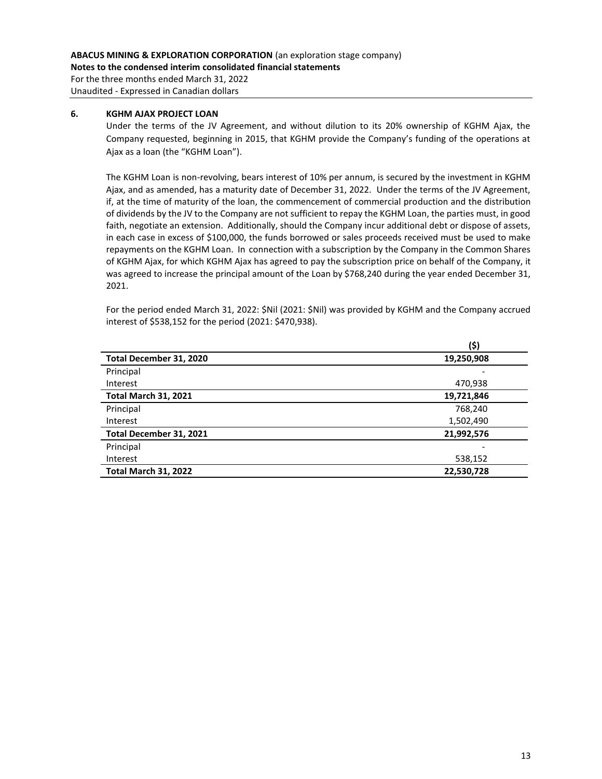For the three months ended March 31, 2022 Unaudited - Expressed in Canadian dollars

## **6. KGHM AJAX PROJECT LOAN**

Under the terms of the JV Agreement, and without dilution to its 20% ownership of KGHM Ajax, the Company requested, beginning in 2015, that KGHM provide the Company's funding of the operations at Ajax as a loan (the "KGHM Loan").

The KGHM Loan is non-revolving, bears interest of 10% per annum, is secured by the investment in KGHM Ajax, and as amended, has a maturity date of December 31, 2022. Under the terms of the JV Agreement, if, at the time of maturity of the loan, the commencement of commercial production and the distribution of dividends by the JV to the Company are not sufficient to repay the KGHM Loan, the parties must, in good faith, negotiate an extension. Additionally, should the Company incur additional debt or dispose of assets, in each case in excess of \$100,000, the funds borrowed or sales proceeds received must be used to make repayments on the KGHM Loan. In connection with a subscription by the Company in the Common Shares of KGHM Ajax, for which KGHM Ajax has agreed to pay the subscription price on behalf of the Company, it was agreed to increase the principal amount of the Loan by \$768,240 during the year ended December 31, 2021.

For the period ended March 31, 2022: \$Nil (2021: \$Nil) was provided by KGHM and the Company accrued interest of \$538,152 for the period (2021: \$470,938).

|                             | (\$)       |
|-----------------------------|------------|
| Total December 31, 2020     | 19,250,908 |
| Principal                   |            |
| Interest                    | 470,938    |
| <b>Total March 31, 2021</b> | 19,721,846 |
| Principal                   | 768,240    |
| Interest                    | 1,502,490  |
| Total December 31, 2021     | 21,992,576 |
| Principal                   | -          |
| Interest                    | 538,152    |
| <b>Total March 31, 2022</b> | 22,530,728 |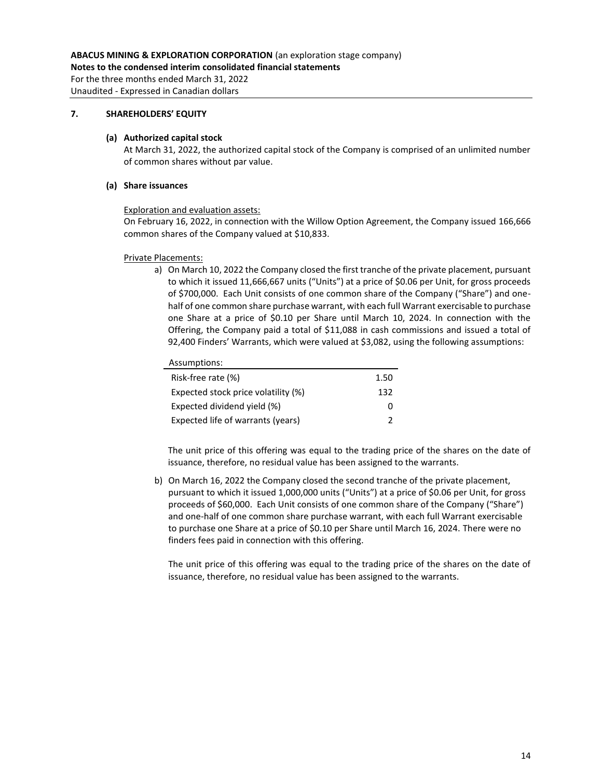For the three months ended March 31, 2022 Unaudited - Expressed in Canadian dollars

# **7. SHAREHOLDERS' EQUITY**

#### **(a) Authorized capital stock**

At March 31, 2022, the authorized capital stock of the Company is comprised of an unlimited number of common shares without par value.

## **(a) Share issuances**

#### Exploration and evaluation assets:

On February 16, 2022, in connection with the Willow Option Agreement, the Company issued 166,666 common shares of the Company valued at \$10,833.

#### Private Placements:

a) On March 10, 2022 the Company closed the first tranche of the private placement, pursuant to which it issued 11,666,667 units ("Units") at a price of \$0.06 per Unit, for gross proceeds of \$700,000. Each Unit consists of one common share of the Company ("Share") and onehalf of one common share purchase warrant, with each full Warrant exercisable to purchase one Share at a price of \$0.10 per Share until March 10, 2024. In connection with the Offering, the Company paid a total of \$11,088 in cash commissions and issued a total of 92,400 Finders' Warrants, which were valued at \$3,082, using the following assumptions:

## Assumptions:

| Risk-free rate (%)                  | 1.50 |
|-------------------------------------|------|
| Expected stock price volatility (%) | 132  |
| Expected dividend yield (%)         | O    |
| Expected life of warrants (years)   |      |
|                                     |      |

The unit price of this offering was equal to the trading price of the shares on the date of issuance, therefore, no residual value has been assigned to the warrants.

b) On March 16, 2022 the Company closed the second tranche of the private placement, pursuant to which it issued 1,000,000 units ("Units") at a price of \$0.06 per Unit, for gross proceeds of \$60,000. Each Unit consists of one common share of the Company ("Share") and one-half of one common share purchase warrant, with each full Warrant exercisable to purchase one Share at a price of \$0.10 per Share until March 16, 2024. There were no finders fees paid in connection with this offering.

The unit price of this offering was equal to the trading price of the shares on the date of issuance, therefore, no residual value has been assigned to the warrants.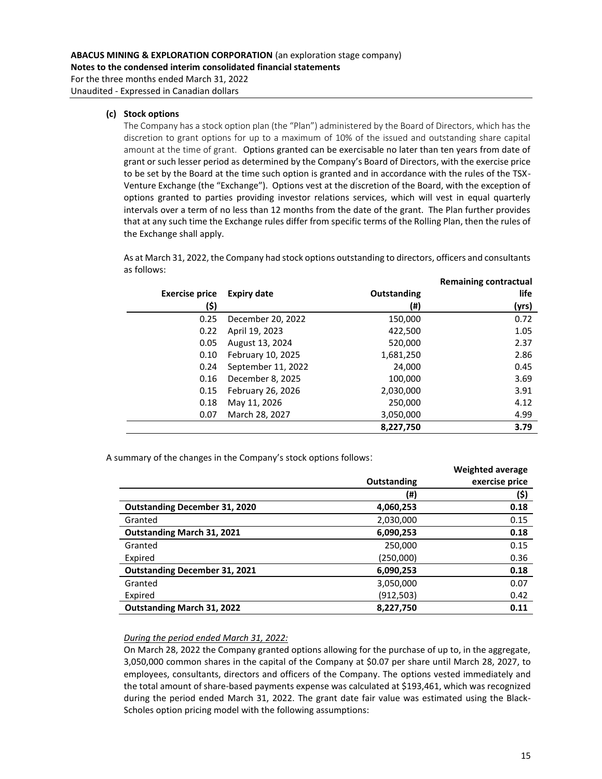Unaudited - Expressed in Canadian dollars

## **(c) Stock options**

The Company has a stock option plan (the "Plan") administered by the Board of Directors, which has the discretion to grant options for up to a maximum of 10% of the issued and outstanding share capital amount at the time of grant. Options granted can be exercisable no later than ten years from date of grant or such lesser period as determined by the Company's Board of Directors, with the exercise price to be set by the Board at the time such option is granted and in accordance with the rules of the TSX-Venture Exchange (the "Exchange"). Options vest at the discretion of the Board, with the exception of options granted to parties providing investor relations services, which will vest in equal quarterly intervals over a term of no less than 12 months from the date of the grant. The Plan further provides that at any such time the Exchange rules differ from specific terms of the Rolling Plan, then the rules of the Exchange shall apply.

As at March 31, 2022, the Company had stock options outstanding to directors, officers and consultants as follows:

|                       |                    |             | <b>Remaining contractual</b> |
|-----------------------|--------------------|-------------|------------------------------|
| <b>Exercise price</b> | <b>Expiry date</b> | Outstanding | life                         |
| (\$)                  |                    | (#)         | (yrs)                        |
| 0.25                  | December 20, 2022  | 150,000     | 0.72                         |
| 0.22                  | April 19, 2023     | 422,500     | 1.05                         |
| 0.05                  | August 13, 2024    | 520,000     | 2.37                         |
| 0.10                  | February 10, 2025  | 1,681,250   | 2.86                         |
| 0.24                  | September 11, 2022 | 24.000      | 0.45                         |
| 0.16                  | December 8, 2025   | 100,000     | 3.69                         |
| 0.15                  | February 26, 2026  | 2,030,000   | 3.91                         |
| 0.18                  | May 11, 2026       | 250,000     | 4.12                         |
| 0.07                  | March 28, 2027     | 3,050,000   | 4.99                         |
|                       |                    | 8,227,750   | 3.79                         |

A summary of the changes in the Company's stock options follows:

|                                      |             | <b>Weighted average</b> |
|--------------------------------------|-------------|-------------------------|
|                                      | Outstanding | exercise price          |
|                                      | (#)         | (\$)                    |
| <b>Outstanding December 31, 2020</b> | 4,060,253   | 0.18                    |
| Granted                              | 2,030,000   | 0.15                    |
| <b>Outstanding March 31, 2021</b>    | 6,090,253   | 0.18                    |
| Granted                              | 250,000     | 0.15                    |
| Expired                              | (250,000)   | 0.36                    |
| <b>Outstanding December 31, 2021</b> | 6,090,253   | 0.18                    |
| Granted                              | 3,050,000   | 0.07                    |
| Expired                              | (912,503)   | 0.42                    |
| <b>Outstanding March 31, 2022</b>    | 8,227,750   | 0.11                    |

## *During the period ended March 31, 2022:*

On March 28, 2022 the Company granted options allowing for the purchase of up to, in the aggregate, 3,050,000 common shares in the capital of the Company at \$0.07 per share until March 28, 2027, to employees, consultants, directors and officers of the Company. The options vested immediately and the total amount of share-based payments expense was calculated at \$193,461, which was recognized during the period ended March 31, 2022. The grant date fair value was estimated using the Black-Scholes option pricing model with the following assumptions: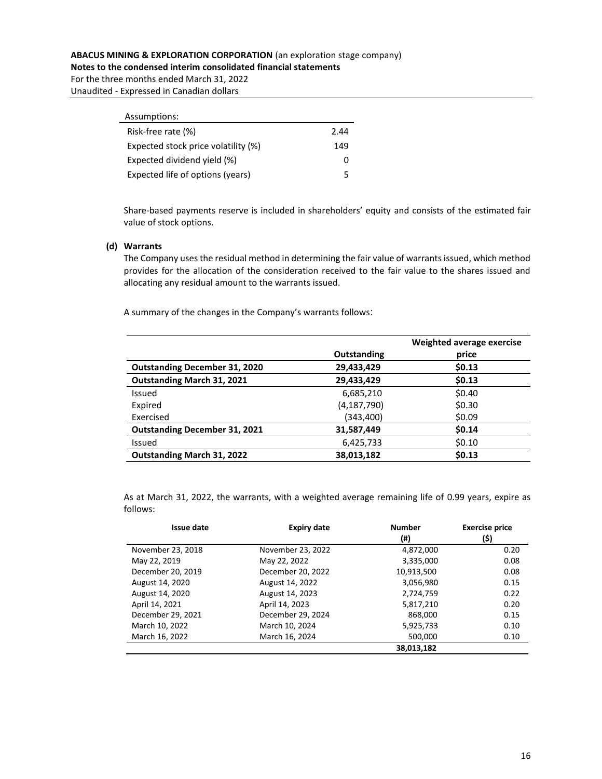**Notes to the condensed interim consolidated financial statements**

For the three months ended March 31, 2022 Unaudited - Expressed in Canadian dollars

| Assumptions:                        |      |
|-------------------------------------|------|
| Risk-free rate (%)                  | 2.44 |
| Expected stock price volatility (%) | 149  |
| Expected dividend yield (%)         | O    |
| Expected life of options (years)    | 5    |

Share-based payments reserve is included in shareholders' equity and consists of the estimated fair value of stock options.

#### **(d) Warrants**

The Company uses the residual method in determining the fair value of warrants issued, which method provides for the allocation of the consideration received to the fair value to the shares issued and allocating any residual amount to the warrants issued.

A summary of the changes in the Company's warrants follows:

|                                      |               | Weighted average exercise |
|--------------------------------------|---------------|---------------------------|
|                                      | Outstanding   | price                     |
| <b>Outstanding December 31, 2020</b> | 29,433,429    | \$0.13                    |
| <b>Outstanding March 31, 2021</b>    | 29,433,429    | \$0.13                    |
| Issued                               | 6,685,210     | \$0.40                    |
| Expired                              | (4, 187, 790) | \$0.30                    |
| Exercised                            | (343,400)     | \$0.09                    |
| <b>Outstanding December 31, 2021</b> | 31,587,449    | \$0.14                    |
| Issued                               | 6,425,733     | \$0.10                    |
| <b>Outstanding March 31, 2022</b>    | 38,013,182    | \$0.13                    |

As at March 31, 2022, the warrants, with a weighted average remaining life of 0.99 years, expire as follows:

| <b>Issue date</b> | <b>Expiry date</b> | <b>Number</b> | <b>Exercise price</b> |
|-------------------|--------------------|---------------|-----------------------|
|                   |                    | (#)           | (\$)                  |
| November 23, 2018 | November 23, 2022  | 4,872,000     | 0.20                  |
| May 22, 2019      | May 22, 2022       | 3,335,000     | 0.08                  |
| December 20, 2019 | December 20, 2022  | 10,913,500    | 0.08                  |
| August 14, 2020   | August 14, 2022    | 3,056,980     | 0.15                  |
| August 14, 2020   | August 14, 2023    | 2,724,759     | 0.22                  |
| April 14, 2021    | April 14, 2023     | 5,817,210     | 0.20                  |
| December 29, 2021 | December 29, 2024  | 868,000       | 0.15                  |
| March 10, 2022    | March 10, 2024     | 5,925,733     | 0.10                  |
| March 16, 2022    | March 16, 2024     | 500,000       | 0.10                  |
|                   |                    | 38,013,182    |                       |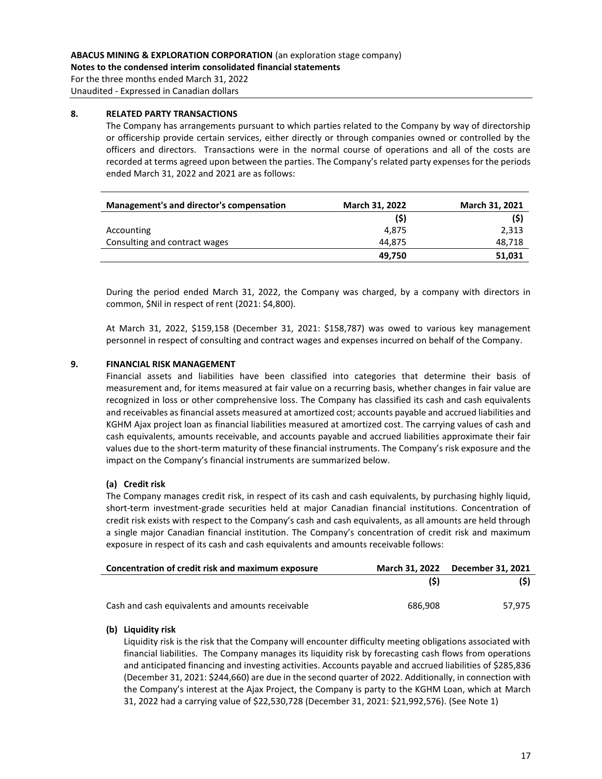For the three months ended March 31, 2022 Unaudited - Expressed in Canadian dollars

## **8. RELATED PARTY TRANSACTIONS**

The Company has arrangements pursuant to which parties related to the Company by way of directorship or officership provide certain services, either directly or through companies owned or controlled by the officers and directors. Transactions were in the normal course of operations and all of the costs are recorded at terms agreed upon between the parties. The Company's related party expenses for the periods ended March 31, 2022 and 2021 are as follows:

| Management's and director's compensation | <b>March 31, 2022</b> | <b>March 31, 2021</b> |
|------------------------------------------|-----------------------|-----------------------|
|                                          | (5)                   | (5)                   |
| Accounting                               | 4.875                 | 2,313                 |
| Consulting and contract wages            | 44.875                | 48,718                |
|                                          | 49.750                | 51,031                |

During the period ended March 31, 2022, the Company was charged, by a company with directors in common, \$Nil in respect of rent (2021: \$4,800).

At March 31, 2022, \$159,158 (December 31, 2021: \$158,787) was owed to various key management personnel in respect of consulting and contract wages and expenses incurred on behalf of the Company.

# **9. FINANCIAL RISK MANAGEMENT**

Financial assets and liabilities have been classified into categories that determine their basis of measurement and, for items measured at fair value on a recurring basis, whether changes in fair value are recognized in loss or other comprehensive loss. The Company has classified its cash and cash equivalents and receivables as financial assets measured at amortized cost; accounts payable and accrued liabilities and KGHM Ajax project loan as financial liabilities measured at amortized cost. The carrying values of cash and cash equivalents, amounts receivable, and accounts payable and accrued liabilities approximate their fair values due to the short-term maturity of these financial instruments. The Company's risk exposure and the impact on the Company's financial instruments are summarized below.

## **(a) Credit risk**

The Company manages credit risk, in respect of its cash and cash equivalents, by purchasing highly liquid, short-term investment-grade securities held at major Canadian financial institutions. Concentration of credit risk exists with respect to the Company's cash and cash equivalents, as all amounts are held through a single major Canadian financial institution. The Company's concentration of credit risk and maximum exposure in respect of its cash and cash equivalents and amounts receivable follows:

| Concentration of credit risk and maximum exposure | March 31, 2022 December 31, 2021 |        |
|---------------------------------------------------|----------------------------------|--------|
|                                                   | (S)                              | (S)    |
| Cash and cash equivalents and amounts receivable  | 686.908                          | 57.975 |

## **(b) Liquidity risk**

Liquidity risk is the risk that the Company will encounter difficulty meeting obligations associated with financial liabilities. The Company manages its liquidity risk by forecasting cash flows from operations and anticipated financing and investing activities. Accounts payable and accrued liabilities of \$285,836 (December 31, 2021: \$244,660) are due in the second quarter of 2022. Additionally, in connection with the Company's interest at the Ajax Project, the Company is party to the KGHM Loan, which at March 31, 2022 had a carrying value of \$22,530,728 (December 31, 2021: \$21,992,576). (See Note 1)